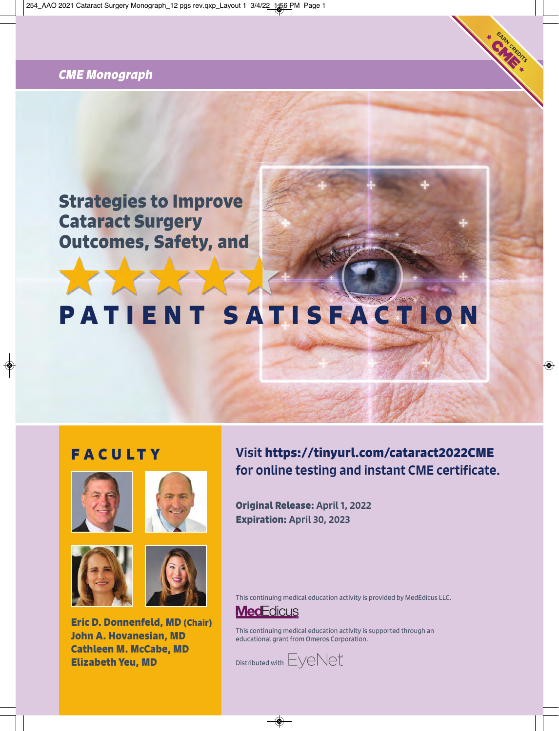# *CME Monograph*

# **Strategies to Improve Cataract Surgery Outcomes, Safety, and**

# **PATIENT SATISFACTION**

# **FAC U LT Y**









**Eric D. Donnenfeld, MD (Chair) John A. Hovanesian, MD Cathleen M. McCabe, MD Elizabeth Yeu, MD**

Visit **https://tinyurl.com/cataract2022CME**  for online testing and instant CME certificate.

**Original Release:** April 1, 2022 **Expiration:** April 30, 2023

This continuing medical education activity is provided by MedEdicus LLC.

# **MedEdicus**

This continuing medical education activity is supported through an educational grant from Omeros Corporation.

 $D$ istributed with  $E$  $V$  $e$  $N$  $e$ t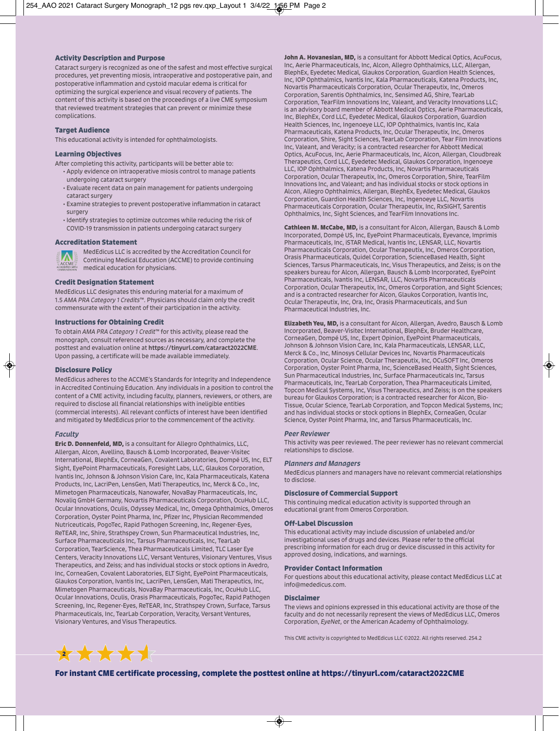#### **Activity Description and Purpose**

Cataract surgery is recognized as one of the safest and most effective surgical procedures, yet preventing miosis, intraoperative and postoperative pain, and postoperative inflammation and cystoid macular edema is critical for optimizing the surgical experience and visual recovery of patients. The content of this activity is based on the proceedings of a live CME symposium that reviewed treatment strategies that can prevent or minimize these complications.

#### **Target Audience**

This educational activity is intended for ophthalmologists.

#### **Learning Objectives**

After completing this activity, participants will be better able to:

- Apply evidence on intraoperative miosis control to manage patients undergoing cataract surgery
- Evaluate recent data on pain management for patients undergoing cataract surgery
- Examine strategies to prevent postoperative inflammation in cataract surgery
- Identify strategies to optimize outcomes while reducing the risk of COVID-19 transmission in patients undergoing cataract surgery

#### **Accreditation Statement**



MedEdicus LLC is accredited by the Accreditation Council for Continuing Medical Education (ACCME) to provide continuing **ACCME CONDITION MCCME <b>CONDITION MCCME MCCME MCCME MCCME MCCME MCCME MCCME MCCME MCCME MCCME MCCME MCCME MCCME MCCME MCCME MCCME MCCME MCCME MCCME MCCME MCCME MCCME MCCME** 

#### **Credit Designation Statement**

MedEdicus LLC designates this enduring material for a maximum of 1.5 *AMA PRA Category 1 Credits*™. Physicians should claim only the credit commensurate with the extent of their participation in the activity.

#### **Instructions for Obtaining Credit**

To obtain *AMA PRA Category 1 Credit*™ for this activity, please read the monograph, consult referenced sources as necessary, and complete the posttest and evaluation online at https://tinyurl.com/cataract2022CME. Upon passing, a certificate will be made available immediately.

#### **Disclosure Policy**

MedEdicus adheres to the ACCME's Standards for Integrity and Independence in Accredited Continuing Education. Any individuals in a position to control the content of a CME activity, including faculty, planners, reviewers, or others, are required to disclose all financial relationships with ineligible entities (commercial interests). All relevant conflicts of interest have been identified and mitigated by MedEdicus prior to the commencement of the activity.

#### *Faculty*

**Eric D. Donnenfeld, MD,** is a consultant for Allegro Ophthalmics, LLC, Allergan, Alcon, Avellino, Bausch & Lomb Incorporated, Beaver-Visitec International, BlephEx, CorneaGen, Covalent Laboratories, Dompé US, Inc, ELT Sight, EyePoint Pharmaceuticals, Foresight Labs, LLC, Glaukos Corporation, Ivantis Inc, Johnson & Johnson Vision Care, Inc, Kala Pharmaceuticals, Katena Products, Inc, LacriPen, LensGen, Mati Therapeutics, Inc, Merck & Co., Inc, Mimetogen Pharmaceuticals, Nanowafer, NovaBay Pharmaceuticals, Inc, Novaliq GmbH Germany, Novartis Pharmaceuticals Corporation, OcuHub LLC, Ocular Innovations, Oculis, Odyssey Medical, Inc, Omega Ophthalmics, Omeros Corporation, Oyster Point Pharma, Inc, Pfizer Inc, Physician Recommended Nutriceuticals, PogoTec, Rapid Pathogen Screening, Inc, Regener-Eyes, ReTEAR, Inc, Shire, Strathspey Crown, Sun Pharmaceutical Industries, Inc, Surface Pharmaceuticals Inc, Tarsus Pharmaceuticals, Inc, TearLab Corporation, TearScience, Thea Pharmaceuticals Limited, TLC Laser Eye Centers, Veracity Innovations LLC, Versant Ventures, Visionary Ventures, Visus Therapeutics, and Zeiss; and has individual stocks or stock options in Avedro, Inc, CorneaGen, Covalent Laboratories, ELT Sight, EyePoint Pharmaceuticals, Glaukos Corporation, Ivantis Inc, LacriPen, LensGen, Mati Therapeutics, Inc, Mimetogen Pharmaceuticals, NovaBay Pharmaceuticals, Inc, OcuHub LLC, Ocular Innovations, Oculis, Orasis Pharmaceuticals, PogoTec, Rapid Pathogen Screening, Inc, Regener-Eyes, ReTEAR, Inc, Strathspey Crown, Surface, Tarsus Pharmaceuticals, Inc, TearLab Corporation, Veracity, Versant Ventures, Visionary Ventures, and Visus Therapeutics.

**John A. Hovanesian, MD.** is a consultant for Abbott Medical Optics, AcuFocus, Inc, Aerie Pharmaceuticals, Inc, Alcon, Allegro Ophthalmics, LLC, Allergan, BlephEx, Eyedetec Medical, Glaukos Corporation, Guardion Health Sciences, Inc, IOP Ophthalmics, Ivantis Inc, Kala Pharmaceuticals, Katena Products, Inc, Novartis Pharmaceuticals Corporation, Ocular Therapeutix, Inc, Omeros Corporation, Sarentis Ophthalmics, Inc, Sensimed AG, Shire, TearLab Corporation, TearFilm Innovations Inc, Valeant, and Veracity Innovations LLC; is an advisory board member of Abbott Medical Optics, Aerie Pharmaceuticals, Inc, BlephEx, Cord LLC, Eyedetec Medical, Glaukos Corporation, Guardion Health Sciences, Inc, Ingenoeye LLC, IOP Ophthalmics, Ivantis Inc, Kala Pharmaceuticals, Katena Products, Inc, Ocular Therapeutix, Inc, Omeros Corporation, Shire, Sight Sciences, TearLab Corporation, Tear Film Innovations Inc, Valeant, and Veracity; is a contracted researcher for Abbott Medical Optics, AcuFocus, Inc, Aerie Pharmaceuticals, Inc, Alcon, Allergan, Cloudbreak Therapeutics, Cord LLC, Eyedetec Medical, Glaukos Corporation, Ingenoeye LLC, IOP Ophthalmics, Katena Products, Inc, Novartis Pharmaceuticals Corporation, Ocular Therapeutix, Inc, Omeros Corporation, Shire, TearFilm Innovations Inc, and Valeant; and has individual stocks or stock options in Alcon, Allegro Ophthalmics, Allergan, BlephEx, Eyedetec Medical, Glaukos Corporation, Guardion Health Sciences, Inc, Ingenoeye LLC, Novartis Pharmaceuticals Corporation, Ocular Therapeutix, Inc, RxSIGHT, Sarentis Ophthalmics, Inc, Sight Sciences, and TearFilm Innovations Inc.

**Cathleen M. McCabe, MD,** is a consultant for Alcon, Allergan, Bausch & Lomb Incorporated, Dompé US, Inc, EyePoint Pharmaceuticals, Eyevance, Imprimis Pharmaceuticals, Inc, iSTAR Medical, Ivantis Inc, LENSAR, LLC, Novartis Pharmaceuticals Corporation, Ocular Therapeutix, Inc, Omeros Corporation, Orasis Pharmaceuticals, Quidel Corporation, ScienceBased Health, Sight Sciences, Tarsus Pharmaceuticals, Inc, Visus Therapeutics, and Zeiss; is on the speakers bureau for Alcon, Allergan, Bausch & Lomb Incorporated, EyePoint Pharmaceuticals, Ivantis Inc, LENSAR, LLC, Novartis Pharmaceuticals Corporation, Ocular Therapeutix, Inc, Omeros Corporation, and Sight Sciences; and is a contracted researcher for Alcon, Glaukos Corporation, Ivantis Inc, Ocular Therapeutix, Inc, Ora, Inc, Orasis Pharmaceuticals, and Sun Pharmaceutical Industries, Inc.

**Elizabeth Yeu, MD,** is a consultant for Alcon, Allergan, Avedro, Bausch & Lomb Incorporated, Beaver-Visitec International, BlephEx, Bruder Healthcare, CorneaGen, Dompé US, Inc, Expert Opinion, EyePoint Pharmaceuticals, Johnson & Johnson Vision Care, Inc, Kala Pharmaceuticals, LENSAR, LLC, Merck & Co., Inc, Minosys Cellular Devices Inc, Novartis Pharmaceuticals Corporation, Ocular Science, Ocular Therapeutix, Inc, OCuSOFT Inc, Omeros Corporation, Oyster Point Pharma, Inc, ScienceBased Health, Sight Sciences, Sun Pharmaceutical Industries, Inc, Surface Pharmaceuticals Inc, Tarsus Pharmaceuticals, Inc, TearLab Corporation, Thea Pharmaceuticals Limited, Topcon Medical Systems, Inc, Visus Therapeutics, and Zeiss; is on the speakers bureau for Glaukos Corporation; is a contracted researcher for Alcon, Bio-Tissue, Ocular Science, TearLab Corporation, and Topcon Medical Systems, Inc; and has individual stocks or stock options in BlephEx, CorneaGen, Ocular Science, Oyster Point Pharma, Inc, and Tarsus Pharmaceuticals, Inc.

#### *Peer Reviewer*

This activity was peer reviewed. The peer reviewer has no relevant commercial relationships to disclose.

#### *Planners and Managers*

MedEdicus planners and managers have no relevant commercial relationships to disclose.

#### **Disclosure of Commercial Support**

This continuing medical education activity is supported through an educational grant from Omeros Corporation.

#### **Off-Label Discussion**

This educational activity may include discussion of unlabeled and/or investigational uses of drugs and devices. Please refer to the official prescribing information for each drug or device discussed in this activity for approved dosing, indications, and warnings.

#### **Provider Contact Information**

For questions about this educational activity, please contact MedEdicus LLC at info@mededicus.com.

#### **Disclaimer**

The views and opinions expressed in this educational activity are those of the faculty and do not necessarily represent the views of MedEdicus LLC, Omeros Corporation, *EyeNet*, or the American Academy of Ophthalmology.

This CME activity is copyrighted to MedEdicus LLC ©2022. All rights reserved. 254.2

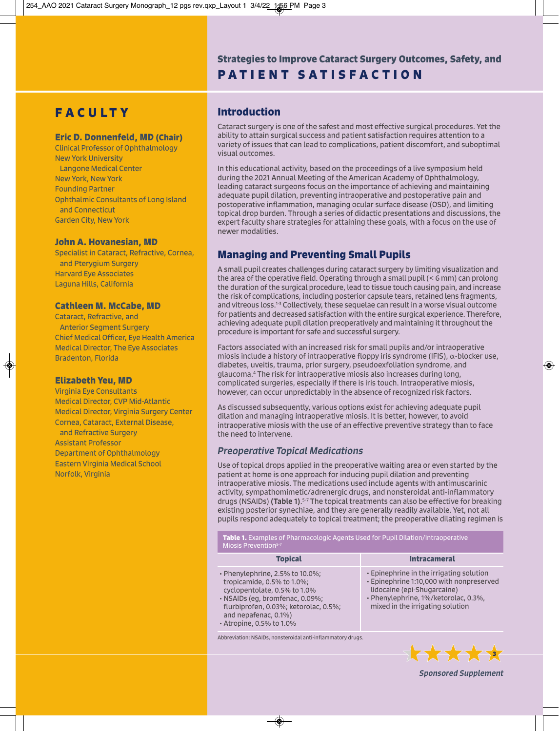# **PATIENT SATISFACTION Strategies to Improve Cataract Surgery Outcomes, Safety, and**

# **FAC U LT Y**

#### **Eric D. Donnenfeld, MD (Chair)**

Clinical Professor of Ophthalmology New York University Langone Medical Center New York, New York Founding Partner Ophthalmic Consultants of Long Island and Connecticut Garden City, New York

### **John A. Hovanesian, MD**

Specialist in Cataract, Refractive, Cornea, and Pterygium Surgery Harvard Eye Associates Laguna Hills, California

#### **Cathleen M. McCabe, MD**

Cataract, Refractive, and Anterior Segment Surgery Chief Medical Officer, Eye Health America Medical Director, The Eye Associates Bradenton, Florida

## **Elizabeth Yeu, MD**

Virginia Eye Consultants Medical Director, CVP Mid-Atlantic Medical Director, Virginia Surgery Center Cornea, Cataract, External Disease, and Refractive Surgery Assistant Professor Department of Ophthalmology Eastern Virginia Medical School Norfolk, Virginia

## **Introduction**

Cataract surgery is one of the safest and most effective surgical procedures. Yet the ability to attain surgical success and patient satisfaction requires attention to a variety of issues that can lead to complications, patient discomfort, and suboptimal visual outcomes.

In this educational activity, based on the proceedings of a live symposium held during the 2021 Annual Meeting of the American Academy of Ophthalmology, leading cataract surgeons focus on the importance of achieving and maintaining adequate pupil dilation, preventing intraoperative and postoperative pain and postoperative inflammation, managing ocular surface disease (OSD), and limiting topical drop burden. Through a series of didactic presentations and discussions, the expert faculty share strategies for attaining these goals, with a focus on the use of newer modalities.

## **Managing and Preventing Small Pupils**

A small pupil creates challenges during cataract surgery by limiting visualization and the area of the operative field. Operating through a small pupil (< 6 mm) can prolong the duration of the surgical procedure, lead to tissue touch causing pain, and increase the risk of complications, including posterior capsule tears, retained lens fragments, and vitreous loss.1-3 Collectively, these sequelae can result in a worse visual outcome for patients and decreased satisfaction with the entire surgical experience. Therefore, achieving adequate pupil dilation preoperatively and maintaining it throughout the procedure is important for safe and successful surgery.

Factors associated with an increased risk for small pupils and/or intraoperative miosis include a history of intraoperative floppy iris syndrome (IFIS), α-blocker use, diabetes, uveitis, trauma, prior surgery, pseudoexfoliation syndrome, and glaucoma.4 The risk for intraoperative miosis also increases during long, complicated surgeries, especially if there is iris touch. Intraoperative miosis, however, can occur unpredictably in the absence of recognized risk factors.

As discussed subsequently, various options exist for achieving adequate pupil dilation and managing intraoperative miosis. It is better, however, to avoid intraoperative miosis with the use of an effective preventive strategy than to face the need to intervene.

## *Preoperative Topical Medications*

Use of topical drops applied in the preoperative waiting area or even started by the patient at home is one approach for inducing pupil dilation and preventing intraoperative miosis. The medications used include agents with antimuscarinic activity, sympathomimetic/adrenergic drugs, and nonsteroidal anti-inflammatory drugs (NSAIDs) **(Table 1)**.<sup>5-7</sup> The topical treatments can also be effective for breaking existing posterior synechiae, and they are generally readily available. Yet, not all pupils respond adequately to topical treatment; the preoperative dilating regimen is

**Table 1.** Examples of Pharmacologic Agents Used for Pupil Dilation/Intraoperative Miosis Prevention<sup>5-7</sup>

| <b>Topical</b>                                                                                                                                                                                                                      | <b>Intracameral</b>                                                                                                                                                                             |
|-------------------------------------------------------------------------------------------------------------------------------------------------------------------------------------------------------------------------------------|-------------------------------------------------------------------------------------------------------------------------------------------------------------------------------------------------|
| $\cdot$ Phenylephrine, 2.5% to 10.0%;<br>tropicamide, 0.5% to 1.0%;<br>cyclopentolate, 0.5% to 1.0%<br>· NSAIDs (eq. bromfenac, 0.09%;<br>flurbiprofen, 0.03%; ketorolac, 0.5%;<br>and nepafenac, 0.1%)<br>• Atropine, 0.5% to 1.0% | • Epinephrine in the irrigating solution<br>· Epinephrine 1:10,000 with nonpreserved<br>lidocaine (epi-Shugarcaine)<br>· Phenylephrine, 1%/ketorolac, 0.3%,<br>mixed in the irrigating solution |
|                                                                                                                                                                                                                                     |                                                                                                                                                                                                 |

Abbreviation: NSAIDs, nonsteroidal anti-inflammatory drugs.



*Sponsored Supplement*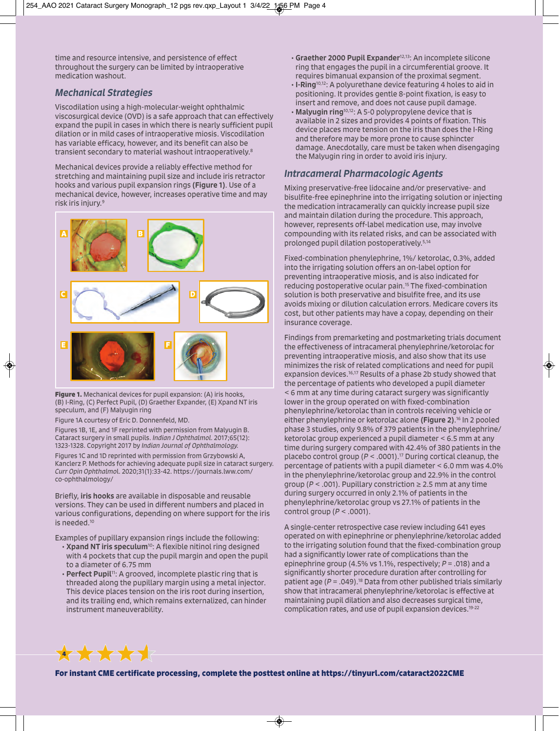time and resource intensive, and persistence of effect throughout the surgery can be limited by intraoperative medication washout.

## *Mechanical Strategies*

Viscodilation using a high-molecular-weight ophthalmic viscosurgical device (OVD) is a safe approach that can effectively expand the pupil in cases in which there is nearly sufficient pupil dilation or in mild cases of intraoperative miosis. Viscodilation has variable efficacy, however, and its benefit can also be transient secondary to material washout intraoperatively.8

Mechanical devices provide a reliably effective method for stretching and maintaining pupil size and include iris retractor hooks and various pupil expansion rings (Figure 1). Use of a mechanical device, however, increases operative time and may risk iris injury.9



**Figure 1.** Mechanical devices for pupil expansion: (A) iris hooks, (B) I-Ring, (C) Perfect Pupil, (D) Graether Expander, (E) Xpand NT iris speculum, and (F) Malyugin ring

Figure 1A courtesy of Eric D. Donnenfeld, MD.

Figures 1B, 1E, and 1F reprinted with permission from Malyugin B. Cataract surgery in small pupils. *Indian J Ophthalmol.* 2017;65(12): 1323-1328. Copyright 2017 by *Indian Journal of Ophthalmology.* Figures 1C and 1D reprinted with permission from Grzybowski A, Kanclerz P. Methods for achieving adequate pupil size in cataract surgery. *Curr Opin Ophthalmo*l. 2020;31(1):33-42. https://journals.lww.com/ co-ophthalmology/

Briefly, iris hooks are available in disposable and reusable versions. They can be used in different numbers and placed in various configurations, depending on where support for the iris is needed.10

Examples of pupillary expansion rings include the following:

- Xpand NT iris speculum<sup>10</sup>: A flexible nitinol ring designed with 4 pockets that cup the pupil margin and open the pupil to a diameter of 6.75 mm
- Perfect Pupil<sup>11</sup>: A grooved, incomplete plastic ring that is threaded along the pupillary margin using a metal injector. This device places tension on the iris root during insertion, and its trailing end, which remains externalized, can hinder instrument maneuverability.
- Graether 2000 Pupil Expander12,13: An incomplete silicone ring that engages the pupil in a circumferential groove. It requires bimanual expansion of the proximal segment.
- I-Ring10,12: A polyurethane device featuring 4 holes to aid in positioning. It provides gentle 8-point fixation, is easy to insert and remove, and does not cause pupil damage.
- Malyugin ring10,12: A 5-0 polypropylene device that is available in 2 sizes and provides 4 points of fixation. This device places more tension on the iris than does the I-Ring and therefore may be more prone to cause sphincter damage. Anecdotally, care must be taken when disengaging the Malyugin ring in order to avoid iris injury.

## *Intracameral Pharmacologic Agents*

Mixing preservative-free lidocaine and/or preservative- and bisulfite-free epinephrine into the irrigating solution or injecting the medication intracamerally can quickly increase pupil size and maintain dilation during the procedure. This approach, however, represents off-label medication use, may involve compounding with its related risks, and can be associated with prolonged pupil dilation postoperatively.5,14

Fixed-combination phenylephrine, 1%/ ketorolac, 0.3%, added into the irrigating solution offers an on-label option for preventing intraoperative miosis, and is also indicated for reducing postoperative ocular pain.15 The fixed-combination solution is both preservative and bisulfite free, and its use avoids mixing or dilution calculation errors. Medicare covers its cost, but other patients may have a copay, depending on their insurance coverage.

Findings from premarketing and postmarketing trials document the effectiveness of intracameral phenylephrine/ketorolac for preventing intraoperative miosis, and also show that its use minimizes the risk of related complications and need for pupil expansion devices.16,17 Results of a phase 2b study showed that the percentage of patients who developed a pupil diameter < 6 mm at any time during cataract surgery was significantly lower in the group operated on with fixed-combination phenylephrine/ketorolac than in controls receiving vehicle or either phenylephrine or ketorolac alone (Figure 2). 16 In 2 pooled phase 3 studies, only 9.8% of 379 patients in the phenylephrine/ ketorolac group experienced a pupil diameter < 6.5 mm at any time during surgery compared with 42.4% of 380 patients in the placebo control group (*P* < .0001).17 During cortical cleanup, the percentage of patients with a pupil diameter < 6.0 mm was 4.0% in the phenylephrine/ketorolac group and 22.9% in the control group ( $P < .001$ ). Pupillary constriction  $\geq 2.5$  mm at any time during surgery occurred in only 2.1% of patients in the phenylephrine/ketorolac group vs 27.1% of patients in the control group (*P* < .0001).

A single-center retrospective case review including 641 eyes operated on with epinephrine or phenylephrine/ketorolac added to the irrigating solution found that the fixed-combination group had a significantly lower rate of complications than the epinephrine group (4.5% vs 1.1%, respectively; *P* = .018) and a significantly shorter procedure duration after controlling for patient age  $(P = .049)$ .<sup>18</sup> Data from other published trials similarly show that intracameral phenylephrine/ketorolac is effective at maintaining pupil dilation and also decreases surgical time, complication rates, and use of pupil expansion devices.19-22

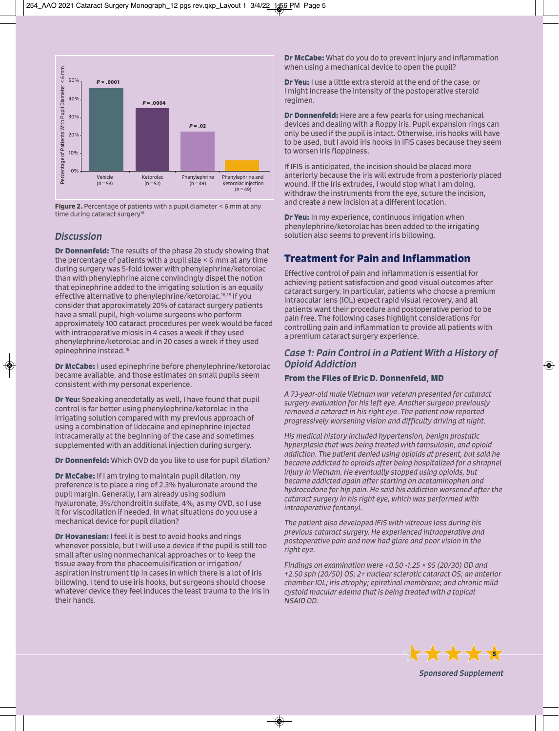

**Figure 2.** Percentage of patients with a pupil diameter < 6 mm at any time during cataract surgery<sup>16</sup>

## *Discussion*

**Dr Donnenfeld:** The results of the phase 2b study showing that the percentage of patients with a pupil size < 6 mm at any time during surgery was 5-fold lower with phenylephrine/ketorolac than with phenylephrine alone convincingly dispel the notion that epinephrine added to the irrigating solution is an equally effective alternative to phenylephrine/ketorolac.<sup>16,18</sup> If you consider that approximately 20% of cataract surgery patients have a small pupil, high-volume surgeons who perform approximately 100 cataract procedures per week would be faced with intraoperative miosis in 4 cases a week if they used phenylephrine/ketorolac and in 20 cases a week if they used epinephrine instead.18

**Dr McCabe:** I used epinephrine before phenylephrine/ketorolac became available, and those estimates on small pupils seem consistent with my personal experience.

**Dr Yeu:** Speaking anecdotally as well, I have found that pupil control is far better using phenylephrine/ketorolac in the irrigating solution compared with my previous approach of using a combination of lidocaine and epinephrine injected intracamerally at the beginning of the case and sometimes supplemented with an additional injection during surgery.

**Dr Donnenfeld:** Which OVD do you like to use for pupil dilation?

**Dr McCabe:** If I am trying to maintain pupil dilation, my preference is to place a ring of 2.3% hyaluronate around the pupil margin. Generally, I am already using sodium hyaluronate, 3%/chondroitin sulfate, 4%, as my OVD, so I use it for viscodilation if needed. In what situations do you use a mechanical device for pupil dilation?

**Dr Hovanesian:** I feel it is best to avoid hooks and rings whenever possible, but I will use a device if the pupil is still too small after using nonmechanical approaches or to keep the tissue away from the phacoemulsification or irrigation/ aspiration instrument tip in cases in which there is a lot of iris billowing. I tend to use iris hooks, but surgeons should choose whatever device they feel induces the least trauma to the iris in their hands.

**Dr McCabe:** What do you do to prevent injury and inflammation when using a mechanical device to open the pupil?

**Dr Yeu:** I use a little extra steroid at the end of the case, or I might increase the intensity of the postoperative steroid regimen.

**Dr Donnenfeld:** Here are a few pearls for using mechanical devices and dealing with a floppy iris. Pupil expansion rings can only be used if the pupil is intact. Otherwise, iris hooks will have to be used, but I avoid iris hooks in IFIS cases because they seem to worsen iris floppiness.

If IFIS is anticipated, the incision should be placed more anteriorly because the iris will extrude from a posteriorly placed wound. If the iris extrudes, I would stop what I am doing, withdraw the instruments from the eye, suture the incision, and create a new incision at a different location.

**Dr Yeu:** In my experience, continuous irrigation when phenylephrine/ketorolac has been added to the irrigating solution also seems to prevent iris billowing.

# **Treatment for Pain and Inflammation**

Effective control of pain and inflammation is essential for achieving patient satisfaction and good visual outcomes after cataract surgery. In particular, patients who choose a premium intraocular lens (IOL) expect rapid visual recovery, and all patients want their procedure and postoperative period to be pain free. The following cases highlight considerations for controlling pain and inflammation to provide all patients with a premium cataract surgery experience.

## *Case 1: Pain Control in a Patient With a History of Opioid Addiction*

## **From the Files of Eric D. Donnenfeld, MD**

*A 73-year-old male Vietnam war veteran presented for cataract surgery evaluation for his left eye. Another surgeon previously removed a cataract in his right eye. The patient now reported progressively worsening vision and difficulty driving at night.* 

*His medical history included hypertension, benign prostatic hyperplasia that was being treated with tamsulosin, and opioid addiction. The patient denied using opioids at present, but said he became addicted to opioids after being hospitalized for a shrapnel injury in Vietnam. He eventually stopped using opioids, but became addicted again after starting on acetaminophen and hydrocodone for hip pain. He said his addiction worsened after the cataract surgery in his right eye, which was performed with intraoperative fentanyl.* 

*The patient also developed IFIS with vitreous loss during his previous cataract surgery. He experienced intraoperative and postoperative pain and now had glare and poor vision in the right eye.* 

*Findings on examination were +0.50 -1.25 × 95 (20/30) OD and +2.50 sph (20/50) OS; 2+ nuclear sclerotic cataract OS; an anterior chamber IOL; iris atrophy; epiretinal membrane; and chronic mild cystoid macular edema that is being treated with a topical NSAID OD.*



*Sponsored Supplement*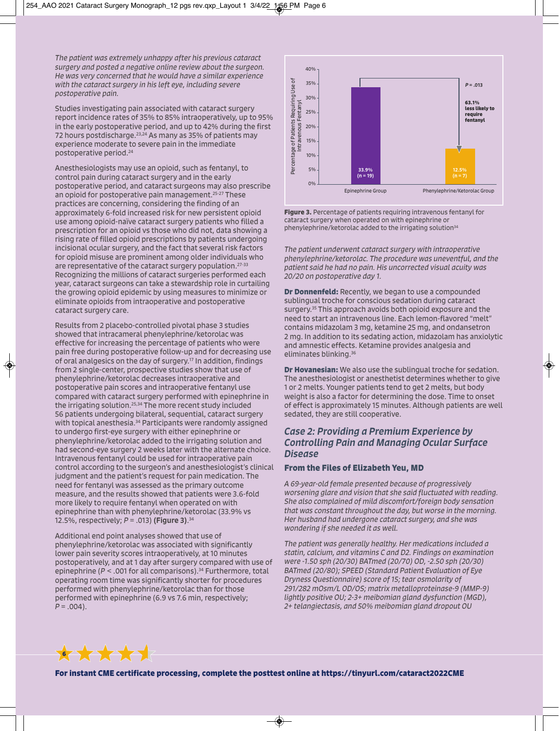*The patient was extremely unhappy after his previous cataract surgery and posted a negative online review about the surgeon. He was very concerned that he would have a similar experience with the cataract surgery in his left eye, including severe postoperative pain.* 

Studies investigating pain associated with cataract surgery report incidence rates of 35% to 85% intraoperatively, up to 95% in the early postoperative period, and up to 42% during the first 72 hours postdischarge.23,24 As many as 35% of patients may experience moderate to severe pain in the immediate postoperative period.24

Anesthesiologists may use an opioid, such as fentanyl, to control pain during cataract surgery and in the early postoperative period, and cataract surgeons may also prescribe an opioid for postoperative pain management.<sup>25-27</sup> These practices are concerning, considering the finding of an approximately 6-fold increased risk for new persistent opioid use among opioid-naïve cataract surgery patients who filled a prescription for an opioid vs those who did not, data showing a rising rate of filled opioid prescriptions by patients undergoing incisional ocular surgery, and the fact that several risk factors for opioid misuse are prominent among older individuals who are representative of the cataract surgery population.<sup>27-33</sup> Recognizing the millions of cataract surgeries performed each year, cataract surgeons can take a stewardship role in curtailing the growing opioid epidemic by using measures to minimize or eliminate opioids from intraoperative and postoperative cataract surgery care.

Results from 2 placebo-controlled pivotal phase 3 studies showed that intracameral phenylephrine/ketorolac was effective for increasing the percentage of patients who were pain free during postoperative follow-up and for decreasing use of oral analgesics on the day of surgery.17 In addition, findings from 2 single-center, prospective studies show that use of phenylephrine/ketorolac decreases intraoperative and postoperative pain scores and intraoperative fentanyl use compared with cataract surgery performed with epinephrine in the irrigating solution.25,34 The more recent study included 56 patients undergoing bilateral, sequential, cataract surgery with topical anesthesia.<sup>34</sup> Participants were randomly assigned to undergo first-eye surgery with either epinephrine or phenylephrine/ketorolac added to the irrigating solution and had second-eye surgery 2 weeks later with the alternate choice. Intravenous fentanyl could be used for intraoperative pain control according to the surgeon's and anesthesiologist's clinical judgment and the patient's request for pain medication. The need for fentanyl was assessed as the primary outcome measure, and the results showed that patients were 3.6-fold more likely to require fentanyl when operated on with epinephrine than with phenylephrine/ketorolac (33.9% vs 12.5%, respectively; *P* = .013) (Figure 3). 34

Additional end point analyses showed that use of phenylephrine/ketorolac was associated with significantly lower pain severity scores intraoperatively, at 10 minutes postoperatively, and at 1 day after surgery compared with use of epinephrine ( $P < 0.001$  for all comparisons).<sup>34</sup> Furthermore, total operating room time was significantly shorter for procedures performed with phenylephrine/ketorolac than for those performed with epinephrine (6.9 vs 7.6 min, respectively;  $P = .004$ ).



**Figure 3.** Percentage of patients requiring intravenous fentanyl for cataract surgery when operated on with epinephrine or phenylephrine/ketorolac added to the irrigating solution<sup>34</sup>

*The patient underwent cataract surgery with intraoperative phenylephrine/ketorolac. The procedure was uneventful, and the patient said he had no pain. His uncorrected visual acuity was 20/20 on postoperative day 1.* 

**Dr Donnenfeld:** Recently, we began to use a compounded sublingual troche for conscious sedation during cataract surgery.35 This approach avoids both opioid exposure and the need to start an intravenous line. Each lemon-flavored "melt" contains midazolam 3 mg, ketamine 25 mg, and ondansetron 2 mg. In addition to its sedating action, midazolam has anxiolytic and amnestic effects. Ketamine provides analgesia and eliminates blinking.36

**Dr Hovanesian:** We also use the sublingual troche for sedation. The anesthesiologist or anesthetist determines whether to give 1 or 2 melts. Younger patients tend to get 2 melts, but body weight is also a factor for determining the dose. Time to onset of effect is approximately 15 minutes. Although patients are well sedated, they are still cooperative.

## *Case 2: Providing a Premium Experience by Controlling Pain and Managing Ocular Surface Disease*

## **From the Files of Elizabeth Yeu, MD**

*A 69-year-old female presented because of progressively worsening glare and vision that she said fluctuated with reading. She also complained of mild discomfort/foreign body sensation that was constant throughout the day, but worse in the morning. Her husband had undergone cataract surgery, and she was wondering if she needed it as well.* 

*The patient was generally healthy. Her medications included a statin, calcium, and vitamins C and D2. Findings on examination were -1.50 sph (20/30) BATmed (20/70) OD, -2.50 sph (20/30) BATmed (20/80); SPEED (Standard Patient Evaluation of Eye Dryness Questionnaire) score of 15; tear osmolarity of 291/282 mOsm/L OD/OS; matrix metalloproteinase-9 (MMP-9) lightly positive OU; 2-3+ meibomian gland dysfunction (MGD), 2+ telangiectasis, and 50% meibomian gland dropout OU* 

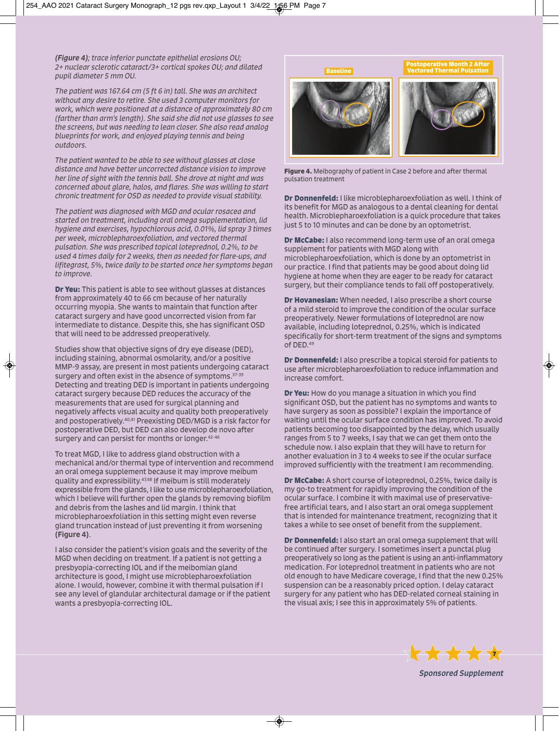*(Figure 4); trace inferior punctate epithelial erosions OU; 2+ nuclear sclerotic cataract/3+ cortical spokes OU; and dilated pupil diameter 5 mm OU.* 

*The patient was 167.64 cm (5 ft 6 in) tall. She was an architect without any desire to retire. She used 3 computer monitors for work, which were positioned at a distance of approximately 80 cm (farther than arm's length). She said she did not use glasses to see the screens, but was needing to lean closer. She also read analog blueprints for work, and enjoyed playing tennis and being outdoors.* 

*The patient wanted to be able to see without glasses at close distance and have better uncorrected distance vision to improve her line of sight with the tennis ball. She drove at night and was concerned about glare, halos, and flares. She was willing to start chronic treatment for OSD as needed to provide visual stability.* 

*The patient was diagnosed with MGD and ocular rosacea and started on treatment, including oral omega supplementation, lid hygiene and exercises, hypochlorous acid, 0.01%, lid spray 3 times per week, microblepharoexfoliation, and vectored thermal pulsation. She was prescribed topical loteprednol, 0.2%, to be used 4 times daily for 2 weeks, then as needed for flare-ups, and lifitegrast, 5%, twice daily to be started once her symptoms began to improve.* 

**Dr Yeu:** This patient is able to see without glasses at distances from approximately 40 to 66 cm because of her naturally occurring myopia. She wants to maintain that function after cataract surgery and have good uncorrected vision from far intermediate to distance. Despite this, she has significant OSD that will need to be addressed preoperatively.

Studies show that objective signs of dry eye disease (DED), including staining, abnormal osmolarity, and/or a positive MMP-9 assay, are present in most patients undergoing cataract surgery and often exist in the absence of symptoms.<sup>37-39</sup> Detecting and treating DED is important in patients undergoing cataract surgery because DED reduces the accuracy of the measurements that are used for surgical planning and negatively affects visual acuity and quality both preoperatively and postoperatively.40,41 Preexisting DED/MGD is a risk factor for postoperative DED, but DED can also develop de novo after surgery and can persist for months or longer.<sup>42-46</sup>

To treat MGD, I like to address gland obstruction with a mechanical and/or thermal type of intervention and recommend an oral omega supplement because it may improve meibum quality and expressibility.47,48 If meibum is still moderately expressible from the glands, I like to use microblepharoexfoliation, which I believe will further open the glands by removing biofilm and debris from the lashes and lid margin. I think that microblepharoexfoliation in this setting might even reverse gland truncation instead of just preventing it from worsening (Figure 4).

I also consider the patient's vision goals and the severity of the MGD when deciding on treatment. If a patient is not getting a presbyopia-correcting IOL and if the meibomian gland architecture is good, I might use microblepharoexfoliation alone. I would, however, combine it with thermal pulsation if I see any level of glandular architectural damage or if the patient wants a presbyopia-correcting IOL.



**Figure 4.** Meibography of patient in Case 2 before and after thermal pulsation treatment

**Dr Donnenfeld:** I like microblepharoexfoliation as well. I think of its benefit for MGD as analogous to a dental cleaning for dental health. Microblepharoexfoliation is a quick procedure that takes just 5 to 10 minutes and can be done by an optometrist.

**Dr McCabe:** I also recommend long-term use of an oral omega supplement for patients with MGD along with microblepharoexfoliation, which is done by an optometrist in our practice. I find that patients may be good about doing lid hygiene at home when they are eager to be ready for cataract surgery, but their compliance tends to fall off postoperatively.

**Dr Hovanesian:** When needed, I also prescribe a short course of a mild steroid to improve the condition of the ocular surface preoperatively. Newer formulations of loteprednol are now available, including loteprednol, 0.25%, which is indicated specifically for short-term treatment of the signs and symptoms of DED.49

**Dr Donnenfeld:** I also prescribe a topical steroid for patients to use after microblepharoexfoliation to reduce inflammation and increase comfort.

**Dr Yeu:** How do you manage a situation in which you find significant OSD, but the patient has no symptoms and wants to have surgery as soon as possible? I explain the importance of waiting until the ocular surface condition has improved. To avoid patients becoming too disappointed by the delay, which usually ranges from 5 to 7 weeks, I say that we can get them onto the schedule now. I also explain that they will have to return for another evaluation in 3 to 4 weeks to see if the ocular surface improved sufficiently with the treatment I am recommending.

**Dr McCabe:** A short course of loteprednol, 0.25%, twice daily is my go-to treatment for rapidly improving the condition of the ocular surface. I combine it with maximal use of preservativefree artificial tears, and I also start an oral omega supplement that is intended for maintenance treatment, recognizing that it takes a while to see onset of benefit from the supplement.

**Dr Donnenfeld:** I also start an oral omega supplement that will be continued after surgery. I sometimes insert a punctal plug preoperatively so long as the patient is using an anti-inflammatory medication. For loteprednol treatment in patients who are not old enough to have Medicare coverage, I find that the new 0.25% suspension can be a reasonably priced option. I delay cataract surgery for any patient who has DED-related corneal staining in the visual axis; I see this in approximately 5% of patients.



*Sponsored Supplement*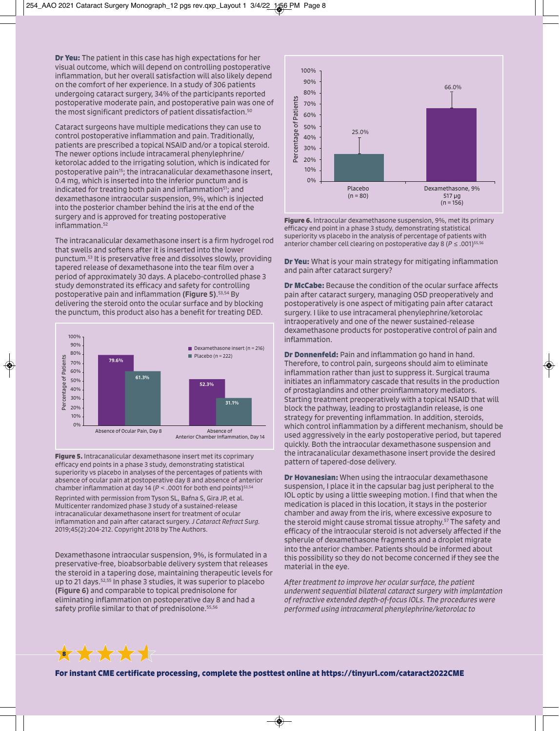**Dr Yeu:** The patient in this case has high expectations for her visual outcome, which will depend on controlling postoperative inflammation, but her overall satisfaction will also likely depend on the comfort of her experience. In a study of 306 patients undergoing cataract surgery, 34% of the participants reported postoperative moderate pain, and postoperative pain was one of the most significant predictors of patient dissatisfaction.<sup>50</sup>

Cataract surgeons have multiple medications they can use to control postoperative inflammation and pain. Traditionally, patients are prescribed a topical NSAID and/or a topical steroid. The newer options include intracameral phenylephrine/ ketorolac added to the irrigating solution, which is indicated for postoperative pain<sup>15</sup>; the intracanalicular dexamethasone insert, 0.4 mg, which is inserted into the inferior punctum and is indicated for treating both pain and inflammation<sup>51</sup>; and dexamethasone intraocular suspension, 9%, which is injected into the posterior chamber behind the iris at the end of the surgery and is approved for treating postoperative inflammation.<sup>52</sup>

The intracanalicular dexamethasone insert is a firm hydrogel rod that swells and softens after it is inserted into the lower punctum.53 It is preservative free and dissolves slowly, providing tapered release of dexamethasone into the tear film over a period of approximately 30 days. A placebo-controlled phase 3 study demonstrated its efficacy and safety for controlling postoperative pain and inflammation (Figure 5). 53,54 By delivering the steroid onto the ocular surface and by blocking the punctum, this product also has a benefit for treating DED.



**Figure 5.** Intracanalicular dexamethasone insert met its coprimary efficacy end points in a phase 3 study, demonstrating statistical superiority vs placebo in analyses of the percentages of patients with absence of ocular pain at postoperative day 8 and absence of anterior chamber inflammation at day 14 ( $P <$  .0001 for both end points)<sup>53,54</sup> Reprinted with permission from Tyson SL, Bafna S, Gira JP, et al. Multicenter randomized phase 3 study of a sustained-release intracanalicular dexamethasone insert for treatment of ocular inflammation and pain after cataract surgery. *J Cataract Refract Surg.* 2019;45(2):204-212. Copyright 2018 by The Authors.

Dexamethasone intraocular suspension, 9%, is formulated in a preservative-free, bioabsorbable delivery system that releases the steroid in a tapering dose, maintaining therapeutic levels for up to 21 days.52,55 In phase 3 studies, it was superior to placebo (Figure 6) and comparable to topical prednisolone for eliminating inflammation on postoperative day 8 and had a safety profile similar to that of prednisolone.<sup>55,56</sup>



**Figure 6.** Intraocular dexamethasone suspension, 9%, met its primary efficacy end point in a phase 3 study, demonstrating statistical superiority vs placebo in the analysis of percentage of patients with anterior chamber cell clearing on postoperative day 8 (*P* ≤ .001)<sup>55,56</sup>

**Dr Yeu:** What is your main strategy for mitigating inflammation and pain after cataract surgery?

**Dr McCabe:** Because the condition of the ocular surface affects pain after cataract surgery, managing OSD preoperatively and postoperatively is one aspect of mitigating pain after cataract surgery. I like to use intracameral phenylephrine/ketorolac intraoperatively and one of the newer sustained-release dexamethasone products for postoperative control of pain and inflammation.

**Dr Donnenfeld:** Pain and inflammation go hand in hand. Therefore, to control pain, surgeons should aim to eliminate inflammation rather than just to suppress it. Surgical trauma initiates an inflammatory cascade that results in the production of prostaglandins and other proinflammatory mediators. Starting treatment preoperatively with a topical NSAID that will block the pathway, leading to prostaglandin release, is one strategy for preventing inflammation. In addition, steroids, which control inflammation by a different mechanism, should be used aggressively in the early postoperative period, but tapered quickly. Both the intraocular dexamethasone suspension and the intracanalicular dexamethasone insert provide the desired pattern of tapered-dose delivery.

**Dr Hovanesian:** When using the intraocular dexamethasone suspension, I place it in the capsular bag just peripheral to the IOL optic by using a little sweeping motion. I find that when the medication is placed in this location, it stays in the posterior chamber and away from the iris, where excessive exposure to the steroid might cause stromal tissue atrophy.57 The safety and efficacy of the intraocular steroid is not adversely affected if the spherule of dexamethasone fragments and a droplet migrate into the anterior chamber. Patients should be informed about this possibility so they do not become concerned if they see the material in the eye.

*After treatment to improve her ocular surface, the patient underwent sequential bilateral cataract surgery with implantation of refractive extended depth-of-focus IOLs. The procedures were performed using intracameral phenylephrine/ketorolac to* 

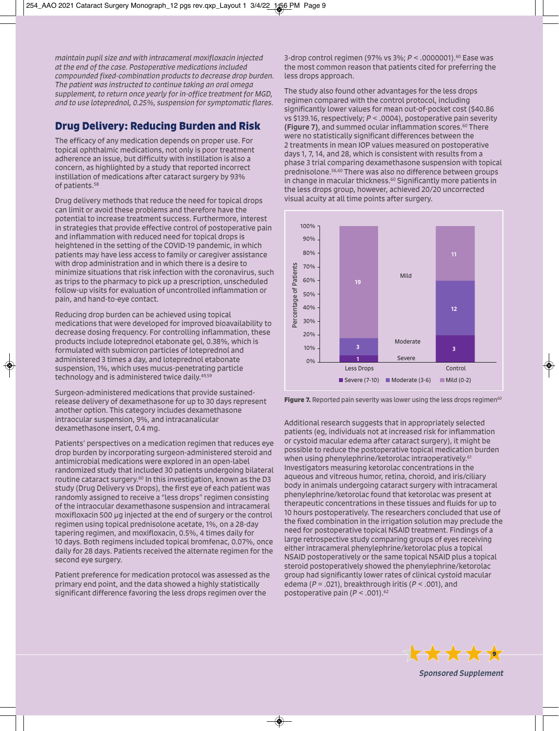*maintain pupil size and with intracameral moxifloxacin injected at the end of the case. Postoperative medications included compounded fixed-combination products to decrease drop burden. The patient was instructed to continue taking an oral omega supplement, to return once yearly for in-office treatment for MGD, and to use loteprednol, 0.25%, suspension for symptomatic flares.* 

# **Drug Delivery: Reducing Burden and Risk**

The efficacy of any medication depends on proper use. For topical ophthalmic medications, not only is poor treatment adherence an issue, but difficulty with instillation is also a concern, as highlighted by a study that reported incorrect instillation of medications after cataract surgery by 93% of patients.58

Drug delivery methods that reduce the need for topical drops can limit or avoid these problems and therefore have the potential to increase treatment success. Furthermore, interest in strategies that provide effective control of postoperative pain and inflammation with reduced need for topical drops is heightened in the setting of the COVID-19 pandemic, in which patients may have less access to family or caregiver assistance with drop administration and in which there is a desire to minimize situations that risk infection with the coronavirus, such as trips to the pharmacy to pick up a prescription, unscheduled follow-up visits for evaluation of uncontrolled inflammation or pain, and hand-to-eye contact.

Reducing drop burden can be achieved using topical medications that were developed for improved bioavailability to decrease dosing frequency. For controlling inflammation, these products include loteprednol etabonate gel, 0.38%, which is formulated with submicron particles of loteprednol and administered 3 times a day, and loteprednol etabonate suspension, 1%, which uses mucus-penetrating particle technology and is administered twice daily.<sup>49,59</sup>

Surgeon-administered medications that provide sustainedrelease delivery of dexamethasone for up to 30 days represent another option. This category includes dexamethasone intraocular suspension, 9%, and intracanalicular dexamethasone insert, 0.4 mg.

Patients' perspectives on a medication regimen that reduces eye drop burden by incorporating surgeon-administered steroid and antimicrobial medications were explored in an open-label randomized study that included 30 patients undergoing bilateral routine cataract surgery.<sup>60</sup> In this investigation, known as the D3 study (Drug Delivery vs Drops), the first eye of each patient was randomly assigned to receive a "less drops" regimen consisting of the intraocular dexamethasone suspension and intracameral moxifloxacin 500 µg injected at the end of surgery or the control regimen using topical prednisolone acetate, 1%, on a 28-day tapering regimen, and moxifloxacin, 0.5%, 4 times daily for 10 days. Both regimens included topical bromfenac, 0.07%, once daily for 28 days. Patients received the alternate regimen for the second eye surgery.

Patient preference for medication protocol was assessed as the primary end point, and the data showed a highly statistically significant difference favoring the less drops regimen over the

3-drop control regimen (97% vs 3%; *P* < .0000001).60 Ease was the most common reason that patients cited for preferring the less drops approach.

The study also found other advantages for the less drops regimen compared with the control protocol, including significantly lower values for mean out-of-pocket cost (\$40.86 vs \$139.16, respectively; *P* < .0004), postoperative pain severity (Figure 7), and summed ocular inflammation scores. $60$  There were no statistically significant differences between the 2 treatments in mean IOP values measured on postoperative days 1, 7, 14, and 28, which is consistent with results from a phase 3 trial comparing dexamethasone suspension with topical prednisolone.56,60 There was also no difference between groups in change in macular thickness.<sup>60</sup> Significantly more patients in the less drops group, however, achieved 20/20 uncorrected visual acuity at all time points after surgery.



**Figure 7.** Reported pain severity was lower using the less drops regimen<sup>60</sup>

Additional research suggests that in appropriately selected patients (eg, individuals not at increased risk for inflammation or cystoid macular edema after cataract surgery), it might be possible to reduce the postoperative topical medication burden when using phenylephrine/ketorolac intraoperatively.<sup>61</sup> Investigators measuring ketorolac concentrations in the aqueous and vitreous humor, retina, choroid, and iris/ciliary body in animals undergoing cataract surgery with intracameral phenylephrine/ketorolac found that ketorolac was present at therapeutic concentrations in these tissues and fluids for up to 10 hours postoperatively. The researchers concluded that use of the fixed combination in the irrigation solution may preclude the need for postoperative topical NSAID treatment. Findings of a large retrospective study comparing groups of eyes receiving either intracameral phenylephrine/ketorolac plus a topical NSAID postoperatively or the same topical NSAID plus a topical steroid postoperatively showed the phenylephrine/ketorolac group had significantly lower rates of clinical cystoid macular edema (*P* = .021), breakthrough iritis (*P* < .001), and postoperative pain ( $P < .001$ ).<sup>62</sup>



*Sponsored Supplement*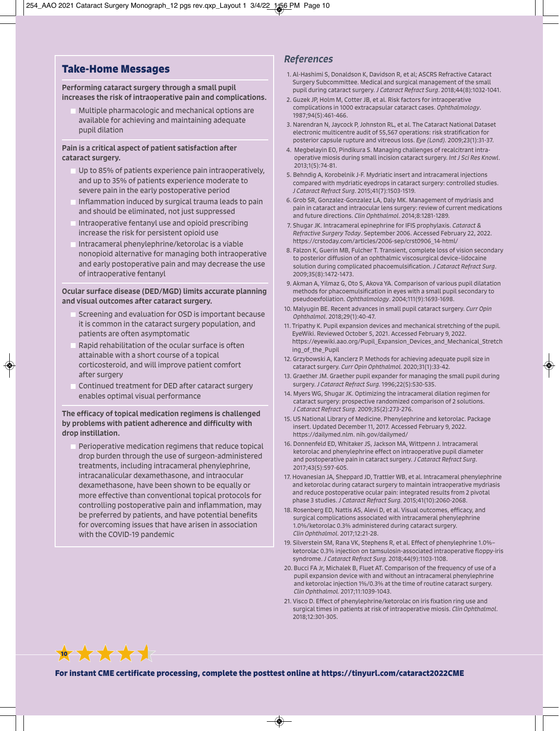## **Take-Home Messages**

#### Performing cataract surgery through a small pupil increases the risk of intraoperative pain and complications.

 Multiple pharmacologic and mechanical options are available for achieving and maintaining adequate pupil dilation

#### Pain is a critical aspect of patient satisfaction after cataract surgery.

- Up to 85% of patients experience pain intraoperatively, and up to 35% of patients experience moderate to severe pain in the early postoperative period
- Inflammation induced by surgical trauma leads to pain and should be eliminated, not just suppressed
- Intraoperative fentanyl use and opioid prescribing increase the risk for persistent opioid use
- Intracameral phenylephrine/ketorolac is a viable nonopioid alternative for managing both intraoperative and early postoperative pain and may decrease the use of intraoperative fentanyl

#### Ocular surface disease (DED/MGD) limits accurate planning and visual outcomes after cataract surgery.

- Screening and evaluation for OSD is important because it is common in the cataract surgery population, and patients are often asymptomatic
- Rapid rehabilitation of the ocular surface is often attainable with a short course of a topical corticosteroid, and will improve patient comfort after surgery
- Continued treatment for DED after cataract surgery enables optimal visual performance

#### The efficacy of topical medication regimens is challenged by problems with patient adherence and difficulty with drop instillation.

 Perioperative medication regimens that reduce topical drop burden through the use of surgeon-administered treatments, including intracameral phenylephrine, intracanalicular dexamethasone, and intraocular dexamethasone, have been shown to be equally or more effective than conventional topical protocols for controlling postoperative pain and inflammation, may be preferred by patients, and have potential benefits for overcoming issues that have arisen in association with the COVID-19 pandemic

**10 X X X X X** 

## *References*

- 1. Al-Hashimi S, Donaldson K, Davidson R, et al; ASCRS Refractive Cataract Surgery Subcommittee. Medical and surgical management of the small pupil during cataract surgery. *J Cataract Refract Surg*. 2018;44(8):1032-1041.
- 2. Guzek JP, Holm M, Cotter JB, et al. Risk factors for intraoperative complications in 1000 extracapsular cataract cases. *Ophthalmology*. 1987;94(5):461-466.
- 3. Narendran N, Jaycock P, Johnston RL, et al. The Cataract National Dataset electronic multicentre audit of 55,567 operations: risk stratification for posterior capsule rupture and vitreous loss. *Eye (Lond).* 2009;23(1):31-37.
- 4. Megbelayin EO, Pindikura S. Managing challenges of recalcitrant intraoperative miosis during small incision cataract surgery. *Int J Sci Res Knowl*. 2013;1(5):74-81.
- 5. Behndig A, Korobelnik J-F. Mydriatic insert and intracameral injections compared with mydriatic eyedrops in cataract surgery: controlled studies. *J Cataract Refract Surg*. 2015;41(7):1503-1519.
- 6. Grob SR, Gonzalez-Gonzalez LA, Daly MK. Management of mydriasis and pain in cataract and intraocular lens surgery: review of current medications and future directions. *Clin Ophthalmol*. 2014;8:1281-1289.
- 7. Shugar JK. Intracameral epinephrine for IFIS prophylaxis. *Cataract & Refractive Surgery Today*. September 2006. Accessed February 22, 2022. https://crstoday.com/articles/2006-sep/crst0906\_14-html/
- 8. Falzon K, Guerin MB, Fulcher T. Transient, complete loss of vision secondary to posterior diffusion of an ophthalmic viscosurgical device–lidocaine solution during complicated phacoemulsification. *J Cataract Refract Surg*. 2009;35(8):1472-1473.
- 9. Akman A, Yilmaz G, Oto S, Akova YA. Comparison of various pupil dilatation methods for phacoemulsification in eyes with a small pupil secondary to pseudoexfoliation. *Ophthalmology*. 2004;111(9):1693-1698.
- 10. Malyugin BE. Recent advances in small pupil cataract surgery. *Curr Opin Ophthalmol*. 2018;29(1):40-47.
- 11. Tripathy K. Pupil expansion devices and mechanical stretching of the pupil. EyeWiki. Reviewed October 5, 2021. Accessed February 9, 2022. https://eyewiki.aao.org/Pupil\_Expansion\_Devices\_and\_Mechanical\_Stretch ing of the Pupil
- 12. Grzybowski A, Kanclerz P. Methods for achieving adequate pupil size in cataract surgery. *Curr Opin Ophthalmol.* 2020;31(1):33-42.
- 13. Graether JM. Graether pupil expander for managing the small pupil during surgery. *J Cataract Refract Surg.* 1996;22(5):530-535.
- 14. Myers WG, Shugar JK. Optimizing the intracameral dilation regimen for cataract surgery: prospective randomized comparison of 2 solutions. *J Cataract Refract Surg.* 2009;35(2):273-276.
- 15. US National Library of Medicine. Phenylephrine and ketorolac. Package insert. Updated December 11, 2017. Accessed February 9, 2022. https://dailymed.nlm. nih.gov/dailymed/
- 16. Donnenfeld ED, Whitaker JS, Jackson MA, Wittpenn J. Intracameral ketorolac and phenylephrine effect on intraoperative pupil diameter and postoperative pain in cataract surgery. *J Cataract Refract Surg*. 2017;43(5):597-605.
- 17. Hovanesian JA, Sheppard JD, Trattler WB, et al. Intracameral phenylephrine and ketorolac during cataract surgery to maintain intraoperative mydriasis and reduce postoperative ocular pain: integrated results from 2 pivotal phase 3 studies. *J Cataract Refract Surg.* 2015;41(10):2060-2068.
- 18. Rosenberg ED, Nattis AS, Alevi D, et al. Visual outcomes, efficacy, and surgical complications associated with intracameral phenylephrine 1.0%/ketorolac 0.3% administered during cataract surgery. *Clin Ophthalmol.* 2017;12:21-28.
- 19. Silverstein SM, Rana VK, Stephens R, et al. Effect of phenylephrine 1.0%– ketorolac 0.3% injection on tamsulosin-associated intraoperative floppy-iris syndrome. *J Cataract Refract Surg.* 2018;44(9):1103-1108.
- 20. Bucci FA Jr, Michalek B, Fluet AT. Comparison of the frequency of use of a pupil expansion device with and without an intracameral phenylephrine and ketorolac injection 1%/0.3% at the time of routine cataract surgery. *Clin Ophthalmol.* 2017;11:1039-1043.
- 21. Visco D. Effect of phenylephrine/ketorolac on iris fixation ring use and surgical times in patients at risk of intraoperative miosis. *Clin Ophthalmol*. 2018;12:301-305.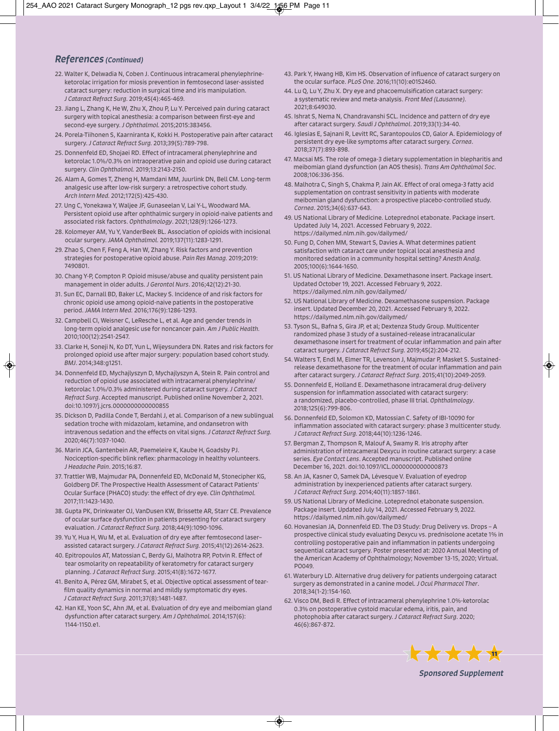## *References (Continued)*

- 22. Walter K, Delwadia N, Coben J. Continuous intracameral phenylephrineketorolac irrigation for miosis prevention in femtosecond laser-assisted cataract surgery: reduction in surgical time and iris manipulation. *J Cataract Refract Surg.* 2019;45(4):465-469.
- 23. Jiang L, Zhang K, He W, Zhu X, Zhou P, Lu Y. Perceived pain during cataract surgery with topical anesthesia: a comparison between first-eye and second-eye surgery. *J Ophthalmol.* 2015;2015:383456.
- 24. Porela-Tiihonen S, Kaarniranta K, Kokki H. Postoperative pain after cataract surgery. *J Cataract Refract Surg.* 2013;39(5):789-798.
- 25. Donnenfeld ED, Shojaei RD. Effect of intracameral phenylephrine and ketorolac 1.0%/0.3% on intraoperative pain and opioid use during cataract surgery. *Clin Ophthalmol.* 2019;13:2143-2150.
- 26. Alam A, Gomes T, Zheng H, Mamdani MM, Juurlink DN, Bell CM. Long-term analgesic use after low-risk surgery: a retrospective cohort study. *Arch Intern Med.* 2012;172(5):425-430.
- 27. Ung C, Yonekawa Y, Waljee JF, Gunaseelan V, Lai Y-L, Woodward MA. Persistent opioid use after ophthalmic surgery in opioid-naive patients and associated risk factors. *Ophthalmology*. 2021;128(9):1266-1273.
- 28. Kolomeyer AM, Yu Y, VanderBeek BL. Association of opioids with incisional ocular surgery. *JAMA Ophthalmol.* 2019;137(11):1283-1291.
- 29. Zhao S, Chen F, Feng A, Han W, Zhang Y. Risk factors and prevention strategies for postoperative opioid abuse. *Pain Res Manag.* 2019;2019: 7490801.
- 30. Chang Y-P, Compton P. Opioid misuse/abuse and quality persistent pain management in older adults. *J Gerontol Nurs*. 2016;42(12):21-30.
- 31. Sun EC, Darnall BD, Baker LC, Mackey S. Incidence of and risk factors for chronic opioid use among opioid-naive patients in the postoperative period. *JAMA Intern Med.* 2016;176(9):1286-1293.
- 32. Campbell CI, Weisner C, LeResche L, et al. Age and gender trends in long-term opioid analgesic use for noncancer pain. *Am J Public Health.* 2010;100(12):2541-2547.
- 33. Clarke H, Soneji N, Ko DT, Yun L, Wijeysundera DN. Rates and risk factors for prolonged opioid use after major surgery: population based cohort study. *BMJ*. 2014;348:g1251.
- 34. Donnenfeld ED, Mychajlyszyn D, Mychajlyszyn A, Stein R. Pain control and reduction of opioid use associated with intracameral phenylephrine/ ketorolac 1.0%/0.3% administered during cataract surgery. *J Cataract Refract Surg*. Accepted manuscript. Published online November 2, 2021. doi:10.1097/j.jcrs.0000000000000855
- 35. Dickson D, Padilla Conde T, Berdahl J, et al. Comparison of a new sublingual sedation troche with midazolam, ketamine, and ondansetron with intravenous sedation and the effects on vital signs. *J Cataract Refract Surg.* 2020;46(7):1037-1040.
- 36. Marin JCA, Gantenbein AR, Paemeleire K, Kaube H, Goadsby PJ. Nociception-specific blink reflex: pharmacology in healthy volunteers. *J Headache Pain*. 2015;16:87.
- 37. Trattler WB, Majmudar PA, Donnenfeld ED, McDonald M, Stonecipher KG, Goldberg DF. The Prospective Health Assessment of Cataract Patients' Ocular Surface (PHACO) study: the effect of dry eye. *Clin Ophthalmol.* 2017;11:1423-1430.
- 38. Gupta PK, Drinkwater OJ, VanDusen KW, Brissette AR, Starr CE. Prevalence of ocular surface dysfunction in patients presenting for cataract surgery evaluation. *J Cataract Refract Surg.* 2018;44(9):1090-1096.
- 39. Yu Y, Hua H, Wu M, et al. Evaluation of dry eye after femtosecond laser– assisted cataract surgery. *J Cataract Refract Surg.* 2015;41(12):2614-2623.
- 40. Epitropoulos AT, Matossian C, Berdy GJ, Malhotra RP, Potvin R. Effect of tear osmolarity on repeatability of keratometry for cataract surgery planning. *J Cataract Refract Surg.* 2015;41(8):1672-1677.
- 41. Benito A, Pérez GM, Mirabet S, et al. Objective optical assessment of tearfilm quality dynamics in normal and mildly symptomatic dry eyes. *J Cataract Refract Surg.* 2011;37(8):1481-1487.
- 42. Han KE, Yoon SC, Ahn JM, et al. Evaluation of dry eye and meibomian gland dysfunction after cataract surgery. *Am J Ophthalmol.* 2014;157(6): 1144-1150.e1.
- 43. Park Y, Hwang HB, Kim HS. Observation of influence of cataract surgery on the ocular surface. *PLoS One.* 2016;11(10):e0152460.
- 44. Lu Q, Lu Y, Zhu X. Dry eye and phacoemulsification cataract surgery: a systematic review and meta-analysis. *Front Med (Lausanne).* 2021;8:649030.
- 45. Ishrat S, Nema N, Chandravanshi SCL. Incidence and pattern of dry eye after cataract surgery. *Saudi J Ophthalmol*. 2019;33(1):34-40.
- 46. Iglesias E, Sajnani R, Levitt RC, Sarantopoulos CD, Galor A. Epidemiology of persistent dry eye-like symptoms after cataract surgery. *Cornea*. 2018;37(7):893-898.
- 47. Macsai MS. The role of omega-3 dietary supplementation in blepharitis and meibomian gland dysfunction (an AOS thesis). *Trans Am Ophthalmol Soc*. 2008;106:336-356.
- 48. Malhotra C, Singh S, Chakma P, Jain AK. Effect of oral omega-3 fatty acid supplementation on contrast sensitivity in patients with moderate meibomian gland dysfunction: a prospective placebo-controlled study. *Cornea*. 2015;34(6):637-643.
- 49. US National Library of Medicine. Loteprednol etabonate. Package insert. Updated July 14, 2021. Accessed February 9, 2022. https://dailymed.nlm.nih.gov/dailymed/
- 50. Fung D, Cohen MM, Stewart S, Davies A. What determines patient satisfaction with cataract care under topical local anesthesia and monitored sedation in a community hospital setting? *Anesth Analg.* 2005;100(6):1644-1650.
- 51. US National Library of Medicine. Dexamethasone insert. Package insert. Updated October 19, 2021. Accessed February 9, 2022. https://dailymed.nlm.nih.gov/dailymed/
- 52. US National Library of Medicine. Dexamethasone suspension. Package insert. Updated December 20, 2021. Accessed February 9, 2022. https://dailymed.nlm.nih.gov/dailymed/
- 53. Tyson SL, Bafna S, Gira JP, et al; Dextenza Study Group. Multicenter randomized phase 3 study of a sustained-release intracanalicular dexamethasone insert for treatment of ocular inflammation and pain after cataract surgery. *J Cataract Refract Surg.* 2019;45(2):204-212.
- 54. Walters T, Endl M, Elmer TR, Levenson J, Majmudar P, Masket S. Sustainedrelease dexamethasone for the treatment of ocular inflammation and pain after cataract surgery. *J Cataract Refract Surg*. 2015;41(10):2049-2059.
- 55. Donnenfeld E, Holland E. Dexamethasone intracameral drug-delivery suspension for inflammation associated with cataract surgery: a randomized, placebo-controlled, phase III trial. *Ophthalmology*. 2018;125(6):799-806.
- 56. Donnenfeld ED, Solomon KD, Matossian C. Safety of IBI-10090 for inflammation associated with cataract surgery: phase 3 multicenter study. *J Cataract Refract Surg.* 2018;44(10):1236-1246.
- 57. Bergman Z, Thompson R, Malouf A, Swamy R. Iris atrophy after administration of intracameral Dexycu in routine cataract surgery: a case series. *Eye Contact Lens*. Accepted manuscript. Published online December 16, 2021. doi:10.1097/ICL.0000000000000873
- 58. An JA, Kasner O, Samek DA, Lévesque V. Evaluation of eyedrop administration by inexperienced patients after cataract surgery. *J Cataract Refract Surg.* 2014;40(11):1857-1861.
- 59. US National Library of Medicine. Loteprednol etabonate suspension. Package insert. Updated July 14, 2021. Accessed February 9, 2022. https://dailymed.nlm.nih.gov/dailymed/
- 60. Hovanesian JA, Donnenfeld ED. The D3 Study: Drug Delivery vs. Drops A prospective clinical study evaluating Dexycu vs. prednisolone acetate 1% in controlling postoperative pain and inflammation in patients undergoing sequential cataract surgery. Poster presented at: 2020 Annual Meeting of the American Academy of Ophthalmology; November 13-15, 2020; Virtual. PO049.
- 61. Waterbury LD. Alternative drug delivery for patients undergoing cataract surgery as demonstrated in a canine model. *J Ocul Pharmacol Ther*. 2018;34(1-2):154-160.
- 62. Visco DM, Bedi R. Effect of intracameral phenylephrine 1.0%-ketorolac 0.3% on postoperative cystoid macular edema, iritis, pain, and photophobia after cataract surgery. *J Cataract Refract Surg*. 2020; 46(6):867-872.



*Sponsored Supplement*